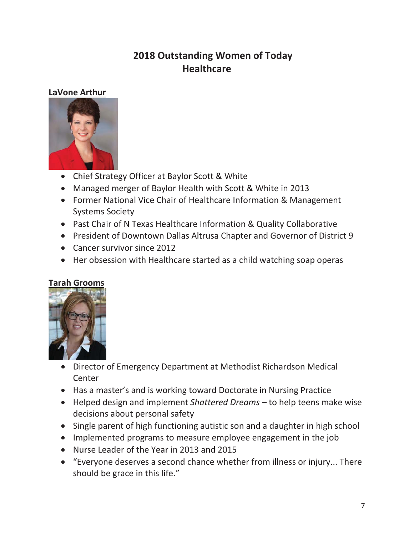# **2018 Outstanding Women of Today Healthcare**

### **LaVone Arthur**



- Chief Strategy Officer at Baylor Scott & White
- Managed merger of Baylor Health with Scott & White in 2013
- Former National Vice Chair of Healthcare Information & Management Systems Society
- Past Chair of N Texas Healthcare Information & Quality Collaborative
- President of Downtown Dallas Altrusa Chapter and Governor of District 9
- Cancer survivor since 2012
- Her obsession with Healthcare started as a child watching soap operas

## **Tarah Grooms**



- Director of Emergency Department at Methodist Richardson Medical **Center**
- Has a master's and is working toward Doctorate in Nursing Practice
- x Helped design and implement *Shattered Dreams* to help teens make wise decisions about personal safety
- Single parent of high functioning autistic son and a daughter in high school
- Implemented programs to measure employee engagement in the job
- Nurse Leader of the Year in 2013 and 2015
- "Everyone deserves a second chance whether from illness or injury... There should be grace in this life."